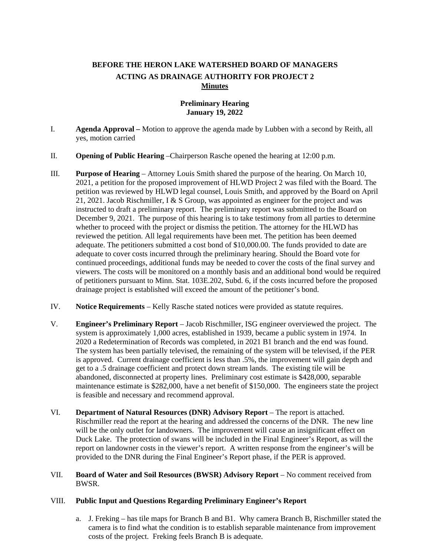# **BEFORE THE HERON LAKE WATERSHED BOARD OF MANAGERS ACTING AS DRAINAGE AUTHORITY FOR PROJECT 2 Minutes**

## **Preliminary Hearing January 19, 2022**

- I. **Agenda Approval** *–* Motion to approve the agenda made by Lubben with a second by Reith, all yes, motion carried
- II. **Opening of Public Hearing** *–*Chairperson Rasche opened the hearing at 12:00 p.m.
- III. **Purpose of Hearing** *–* Attorney Louis Smith shared the purpose of the hearing. On March 10, 2021, a petition for the proposed improvement of HLWD Project 2 was filed with the Board. The petition was reviewed by HLWD legal counsel, Louis Smith, and approved by the Board on April 21, 2021. Jacob Rischmiller, I & S Group, was appointed as engineer for the project and was instructed to draft a preliminary report. The preliminary report was submitted to the Board on December 9, 2021. The purpose of this hearing is to take testimony from all parties to determine whether to proceed with the project or dismiss the petition. The attorney for the HLWD has reviewed the petition. All legal requirements have been met. The petition has been deemed adequate. The petitioners submitted a cost bond of \$10,000.00. The funds provided to date are adequate to cover costs incurred through the preliminary hearing. Should the Board vote for continued proceedings, additional funds may be needed to cover the costs of the final survey and viewers. The costs will be monitored on a monthly basis and an additional bond would be required of petitioners pursuant to Minn. Stat. 103E.202, Subd. 6, if the costs incurred before the proposed drainage project is established will exceed the amount of the petitioner's bond.
- IV. **Notice Requirements** *–* Kelly Rasche stated notices were provided as statute requires.
- V. **Engineer's Preliminary Report** Jacob Rischmiller, ISG engineer overviewed the project. The system is approximately 1,000 acres, established in 1939, became a public system in 1974. In 2020 a Redetermination of Records was completed, in 2021 B1 branch and the end was found. The system has been partially televised, the remaining of the system will be televised, if the PER is approved. Current drainage coefficient is less than .5%, the improvement will gain depth and get to a .5 drainage coefficient and protect down stream lands. The existing tile will be abandoned, disconnected at property lines. Preliminary cost estimate is \$428,000, separable maintenance estimate is \$282,000, have a net benefit of \$150,000.The engineers state the project is feasible and necessary and recommend approval.
- VI. **Department of Natural Resources (DNR) Advisory Report** The report is attached. Rischmiller read the report at the hearing and addressed the concerns of the DNR. The new line will be the only outlet for landowners. The improvement will cause an insignificant effect on Duck Lake. The protection of swans will be included in the Final Engineer's Report, as will the report on landowner costs in the viewer's report. A written response from the engineer's will be provided to the DNR during the Final Engineer's Report phase, if the PER is approved.
- VII. **Board of Water and Soil Resources (BWSR) Advisory Report** No comment received from BWSR.

### VIII. **Public Input and Questions Regarding Preliminary Engineer's Report**

a. J. Freking – has tile maps for Branch B and B1. Why camera Branch B, Rischmiller stated the camera is to find what the condition is to establish separable maintenance from improvement costs of the project. Freking feels Branch B is adequate.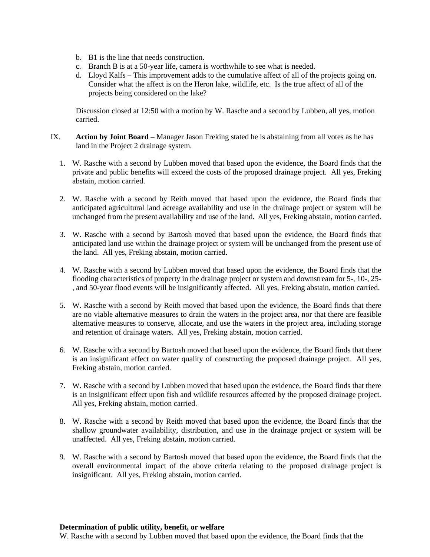- b. B1 is the line that needs construction.
- c. Branch B is at a 50-year life, camera is worthwhile to see what is needed.
- d. Lloyd Kalfs This improvement adds to the cumulative affect of all of the projects going on. Consider what the affect is on the Heron lake, wildlife, etc. Is the true affect of all of the projects being considered on the lake?

Discussion closed at 12:50 with a motion by W. Rasche and a second by Lubben, all yes, motion carried.

- IX. **Action by Joint Board** Manager Jason Freking stated he is abstaining from all votes as he has land in the Project 2 drainage system.
	- 1. W. Rasche with a second by Lubben moved that based upon the evidence, the Board finds that the private and public benefits will exceed the costs of the proposed drainage project. All yes, Freking abstain, motion carried.
	- 2. W. Rasche with a second by Reith moved that based upon the evidence, the Board finds that anticipated agricultural land acreage availability and use in the drainage project or system will be unchanged from the present availability and use of the land. All yes, Freking abstain, motion carried.
	- 3. W. Rasche with a second by Bartosh moved that based upon the evidence, the Board finds that anticipated land use within the drainage project or system will be unchanged from the present use of the land. All yes, Freking abstain, motion carried.
	- 4. W. Rasche with a second by Lubben moved that based upon the evidence, the Board finds that the flooding characteristics of property in the drainage project or system and downstream for 5-, 10-, 25- , and 50-year flood events will be insignificantly affected. All yes, Freking abstain, motion carried.
	- 5. W. Rasche with a second by Reith moved that based upon the evidence, the Board finds that there are no viable alternative measures to drain the waters in the project area, nor that there are feasible alternative measures to conserve, allocate, and use the waters in the project area, including storage and retention of drainage waters. All yes, Freking abstain, motion carried.
	- 6. W. Rasche with a second by Bartosh moved that based upon the evidence, the Board finds that there is an insignificant effect on water quality of constructing the proposed drainage project. All yes, Freking abstain, motion carried.
	- 7. W. Rasche with a second by Lubben moved that based upon the evidence, the Board finds that there is an insignificant effect upon fish and wildlife resources affected by the proposed drainage project. All yes, Freking abstain, motion carried.
	- 8. W. Rasche with a second by Reith moved that based upon the evidence, the Board finds that the shallow groundwater availability, distribution, and use in the drainage project or system will be unaffected. All yes, Freking abstain, motion carried.
	- 9. W. Rasche with a second by Bartosh moved that based upon the evidence, the Board finds that the overall environmental impact of the above criteria relating to the proposed drainage project is insignificant. All yes, Freking abstain, motion carried.

#### **Determination of public utility, benefit, or welfare**

W. Rasche with a second by Lubben moved that based upon the evidence, the Board finds that the